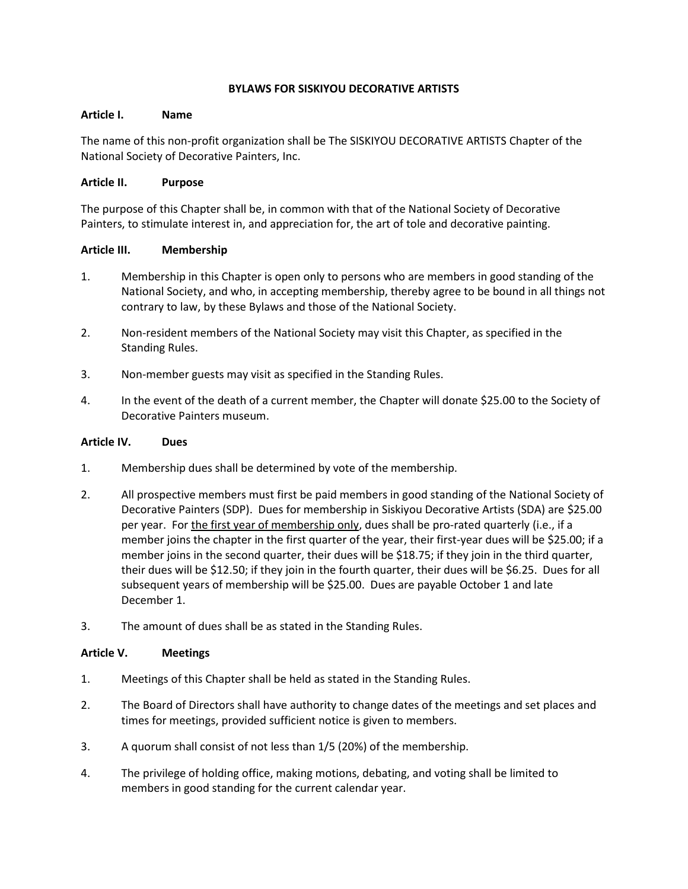# **BYLAWS FOR SISKIYOU DECORATIVE ARTISTS**

### **Article I. Name**

The name of this non-profit organization shall be The SISKIYOU DECORATIVE ARTISTS Chapter of the National Society of Decorative Painters, Inc.

## **Article II. Purpose**

The purpose of this Chapter shall be, in common with that of the National Society of Decorative Painters, to stimulate interest in, and appreciation for, the art of tole and decorative painting.

## **Article III. Membership**

- 1. Membership in this Chapter is open only to persons who are members in good standing of the National Society, and who, in accepting membership, thereby agree to be bound in all things not contrary to law, by these Bylaws and those of the National Society.
- 2. Non-resident members of the National Society may visit this Chapter, as specified in the Standing Rules.
- 3. Non-member guests may visit as specified in the Standing Rules.
- 4. In the event of the death of a current member, the Chapter will donate \$25.00 to the Society of Decorative Painters museum.

### **Article IV. Dues**

- 1. Membership dues shall be determined by vote of the membership.
- 2. All prospective members must first be paid members in good standing of the National Society of Decorative Painters (SDP). Dues for membership in Siskiyou Decorative Artists (SDA) are \$25.00 per year. For the first year of membership only, dues shall be pro-rated quarterly (i.e., if a member joins the chapter in the first quarter of the year, their first-year dues will be \$25.00; if a member joins in the second quarter, their dues will be \$18.75; if they join in the third quarter, their dues will be \$12.50; if they join in the fourth quarter, their dues will be \$6.25. Dues for all subsequent years of membership will be \$25.00. Dues are payable October 1 and late December 1.
- 3. The amount of dues shall be as stated in the Standing Rules.

## **Article V. Meetings**

- 1. Meetings of this Chapter shall be held as stated in the Standing Rules.
- 2. The Board of Directors shall have authority to change dates of the meetings and set places and times for meetings, provided sufficient notice is given to members.
- 3. A quorum shall consist of not less than 1/5 (20%) of the membership.
- 4. The privilege of holding office, making motions, debating, and voting shall be limited to members in good standing for the current calendar year.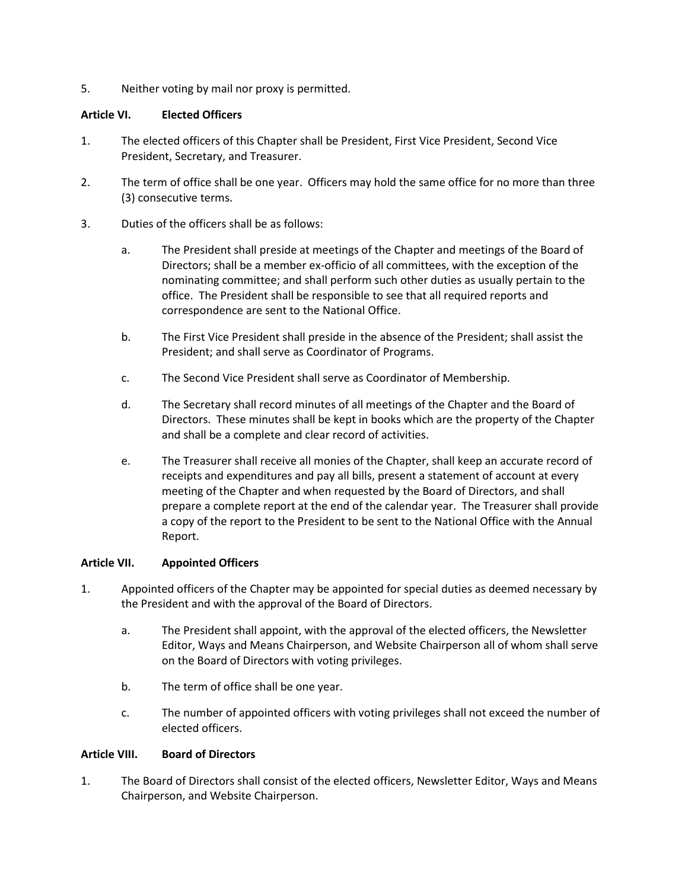5. Neither voting by mail nor proxy is permitted.

# **Article VI. Elected Officers**

- 1. The elected officers of this Chapter shall be President, First Vice President, Second Vice President, Secretary, and Treasurer.
- 2. The term of office shall be one year. Officers may hold the same office for no more than three (3) consecutive terms.
- 3. Duties of the officers shall be as follows:
	- a. The President shall preside at meetings of the Chapter and meetings of the Board of Directors; shall be a member ex-officio of all committees, with the exception of the nominating committee; and shall perform such other duties as usually pertain to the office. The President shall be responsible to see that all required reports and correspondence are sent to the National Office.
	- b. The First Vice President shall preside in the absence of the President; shall assist the President; and shall serve as Coordinator of Programs.
	- c. The Second Vice President shall serve as Coordinator of Membership.
	- d. The Secretary shall record minutes of all meetings of the Chapter and the Board of Directors. These minutes shall be kept in books which are the property of the Chapter and shall be a complete and clear record of activities.
	- e. The Treasurer shall receive all monies of the Chapter, shall keep an accurate record of receipts and expenditures and pay all bills, present a statement of account at every meeting of the Chapter and when requested by the Board of Directors, and shall prepare a complete report at the end of the calendar year. The Treasurer shall provide a copy of the report to the President to be sent to the National Office with the Annual Report.

## **Article VII. Appointed Officers**

- 1. Appointed officers of the Chapter may be appointed for special duties as deemed necessary by the President and with the approval of the Board of Directors.
	- a. The President shall appoint, with the approval of the elected officers, the Newsletter Editor, Ways and Means Chairperson, and Website Chairperson all of whom shall serve on the Board of Directors with voting privileges.
	- b. The term of office shall be one year.
	- c. The number of appointed officers with voting privileges shall not exceed the number of elected officers.

## **Article VIII. Board of Directors**

1. The Board of Directors shall consist of the elected officers, Newsletter Editor, Ways and Means Chairperson, and Website Chairperson.